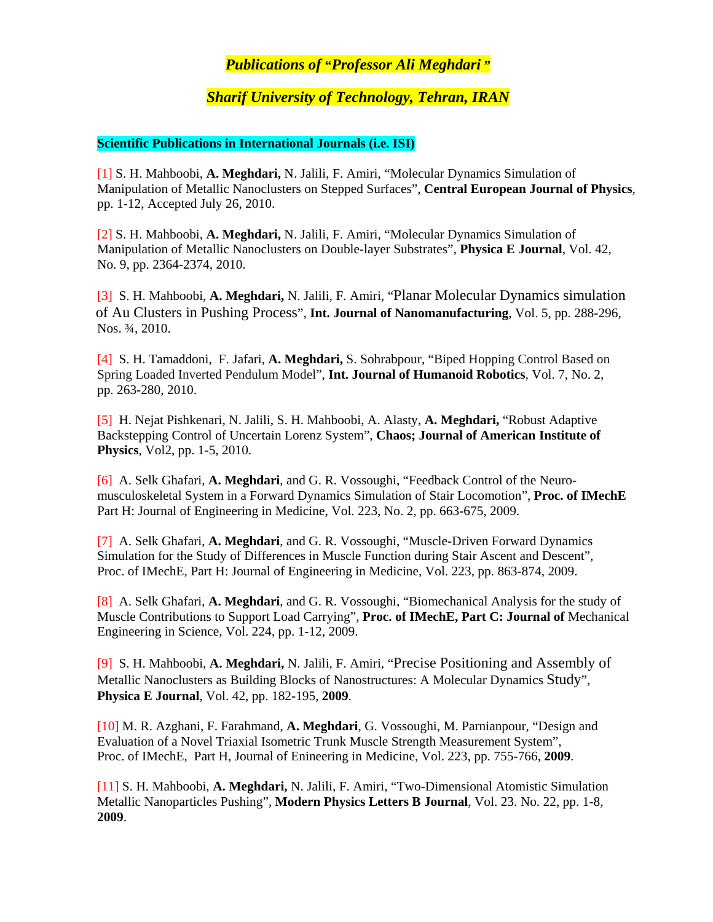## *Publications of* **"***Professor Ali Meghdari* **"**

## *Sharif University of Technology, Tehran, IRAN*

## **Scientific Publications in International Journals (i.e. ISI)**

 [1] S. H. Mahboobi, **A. Meghdari,** N. Jalili, F. Amiri, "Molecular Dynamics Simulation of Manipulation of Metallic Nanoclusters on Stepped Surfaces", **Central European Journal of Physics**, pp. 1-12, Accepted July 26, 2010.

 [2] S. H. Mahboobi, **A. Meghdari,** N. Jalili, F. Amiri, "Molecular Dynamics Simulation of Manipulation of Metallic Nanoclusters on Double-layer Substrates", **Physica E Journal**, Vol. 42, No. 9, pp. 2364-2374, 2010.

 [3] S. H. Mahboobi, **A. Meghdari,** N. Jalili, F. Amiri, "Planar Molecular Dynamics simulation of Au Clusters in Pushing Process", **Int. Journal of Nanomanufacturing**, Vol. 5, pp. 288-296, Nos. ¾, 2010.

 [4] S. H. Tamaddoni, F. Jafari, **A. Meghdari,** S. Sohrabpour, "Biped Hopping Control Based on Spring Loaded Inverted Pendulum Model", **Int. Journal of Humanoid Robotics**, Vol. 7, No. 2, pp. 263-280, 2010.

 [5] H. Nejat Pishkenari, N. Jalili, S. H. Mahboobi, A. Alasty, **A. Meghdari,** "Robust Adaptive Backstepping Control of Uncertain Lorenz System", **Chaos; Journal of American Institute of Physics**, Vol2, pp. 1-5, 2010.

 [6] A. Selk Ghafari, **A. Meghdari**, and G. R. Vossoughi, "Feedback Control of the Neuro musculoskeletal System in a Forward Dynamics Simulation of Stair Locomotion", **Proc. of IMechE**  Part H: Journal of Engineering in Medicine, Vol. 223, No. 2, pp. 663-675, 2009.

 [7] A. Selk Ghafari, **A. Meghdari**, and G. R. Vossoughi, "Muscle-Driven Forward Dynamics Simulation for the Study of Differences in Muscle Function during Stair Ascent and Descent", Proc. of IMechE, Part H: Journal of Engineering in Medicine, Vol. 223, pp. 863-874, 2009.

 [8] A. Selk Ghafari, **A. Meghdari**, and G. R. Vossoughi, "Biomechanical Analysis for the study of Muscle Contributions to Support Load Carrying", **Proc. of IMechE, Part C: Journal of** Mechanical Engineering in Science, Vol. 224, pp. 1-12, 2009.

 [9] S. H. Mahboobi, **A. Meghdari,** N. Jalili, F. Amiri, "Precise Positioning and Assembly of Metallic Nanoclusters as Building Blocks of Nanostructures: A Molecular Dynamics Study", **Physica E Journal**, Vol. 42, pp. 182-195, **2009**.

 [10] M. R. Azghani, F. Farahmand, **A. Meghdari**, G. Vossoughi, M. Parnianpour, "Design and Evaluation of a Novel Triaxial Isometric Trunk Muscle Strength Measurement System", Proc. of IMechE, Part H, Journal of Enineering in Medicine, Vol. 223, pp. 755-766, **2009**.

 [11] S. H. Mahboobi, **A. Meghdari,** N. Jalili, F. Amiri, "Two-Dimensional Atomistic Simulation Metallic Nanoparticles Pushing", **Modern Physics Letters B Journal**, Vol. 23. No. 22, pp. 1-8, **2009**.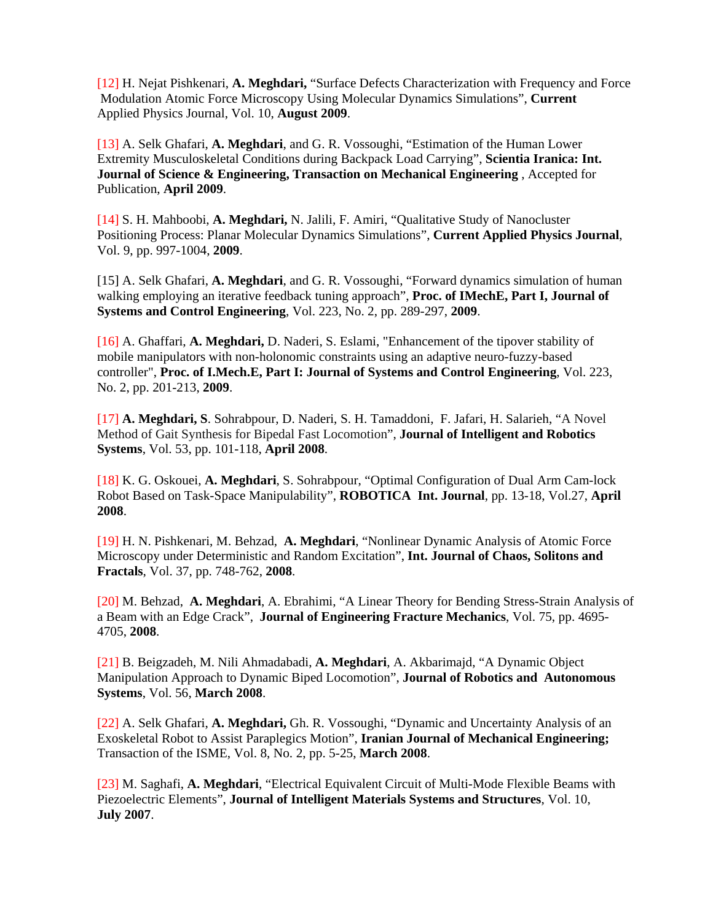[12] H. Nejat Pishkenari, **A. Meghdari,** "Surface Defects Characterization with Frequency and Force Modulation Atomic Force Microscopy Using Molecular Dynamics Simulations", **Current**  Applied Physics Journal, Vol. 10, **August 2009**.

 [13] A. Selk Ghafari, **A. Meghdari**, and G. R. Vossoughi, "Estimation of the Human Lower Extremity Musculoskeletal Conditions during Backpack Load Carrying", **Scientia Iranica: Int. Journal of Science & Engineering, Transaction on Mechanical Engineering** , Accepted for Publication, **April 2009**.

 [14] S. H. Mahboobi, **A. Meghdari,** N. Jalili, F. Amiri, "Qualitative Study of Nanocluster Positioning Process: Planar Molecular Dynamics Simulations", **Current Applied Physics Journal**, Vol. 9, pp. 997-1004, **2009**.

 [15] A. Selk Ghafari, **A. Meghdari**, and G. R. Vossoughi, "Forward dynamics simulation of human walking employing an iterative feedback tuning approach", **Proc. of IMechE, Part I, Journal of Systems and Control Engineering**, Vol. 223, No. 2, pp. 289-297, **2009**.

[16] A. Ghaffari, **A. Meghdari,** D. Naderi, S. Eslami, "Enhancement of the tipover stability of mobile manipulators with non-holonomic constraints using an adaptive neuro-fuzzy-based controller", **Proc. of I.Mech.E, Part I: Journal of Systems and Control Engineering**, Vol. 223, No. 2, pp. 201-213, **2009**.

[17] **A. Meghdari, S**. Sohrabpour, D. Naderi, S. H. Tamaddoni, F. Jafari, H. Salarieh, "A Novel Method of Gait Synthesis for Bipedal Fast Locomotion", **Journal of Intelligent and Robotics Systems**, Vol. 53, pp. 101-118, **April 2008**.

[18] K. G. Oskouei, **A. Meghdari**, S. Sohrabpour, "Optimal Configuration of Dual Arm Cam-lock Robot Based on Task-Space Manipulability", **ROBOTICA Int. Journal**, pp. 13-18, Vol.27, **April 2008**.

[19] H. N. Pishkenari, M. Behzad, **A. Meghdari**, "Nonlinear Dynamic Analysis of Atomic Force Microscopy under Deterministic and Random Excitation", **Int. Journal of Chaos, Solitons and Fractals**, Vol. 37, pp. 748-762, **2008**.

[20] M. Behzad, **A. Meghdari**, A. Ebrahimi, "A Linear Theory for Bending Stress-Strain Analysis of a Beam with an Edge Crack", **Journal of Engineering Fracture Mechanics**, Vol. 75, pp. 4695- 4705, **2008**.

[21] B. Beigzadeh, M. Nili Ahmadabadi, **A. Meghdari**, A. Akbarimajd, "A Dynamic Object Manipulation Approach to Dynamic Biped Locomotion", **Journal of Robotics and Autonomous Systems**, Vol. 56, **March 2008**.

[22] A. Selk Ghafari, **A. Meghdari,** Gh. R. Vossoughi, "Dynamic and Uncertainty Analysis of an Exoskeletal Robot to Assist Paraplegics Motion", **Iranian Journal of Mechanical Engineering;**  Transaction of the ISME, Vol. 8, No. 2, pp. 5-25, **March 2008**.

[23] M. Saghafi, **A. Meghdari**, "Electrical Equivalent Circuit of Multi-Mode Flexible Beams with Piezoelectric Elements", **Journal of Intelligent Materials Systems and Structures**, Vol. 10, **July 2007**.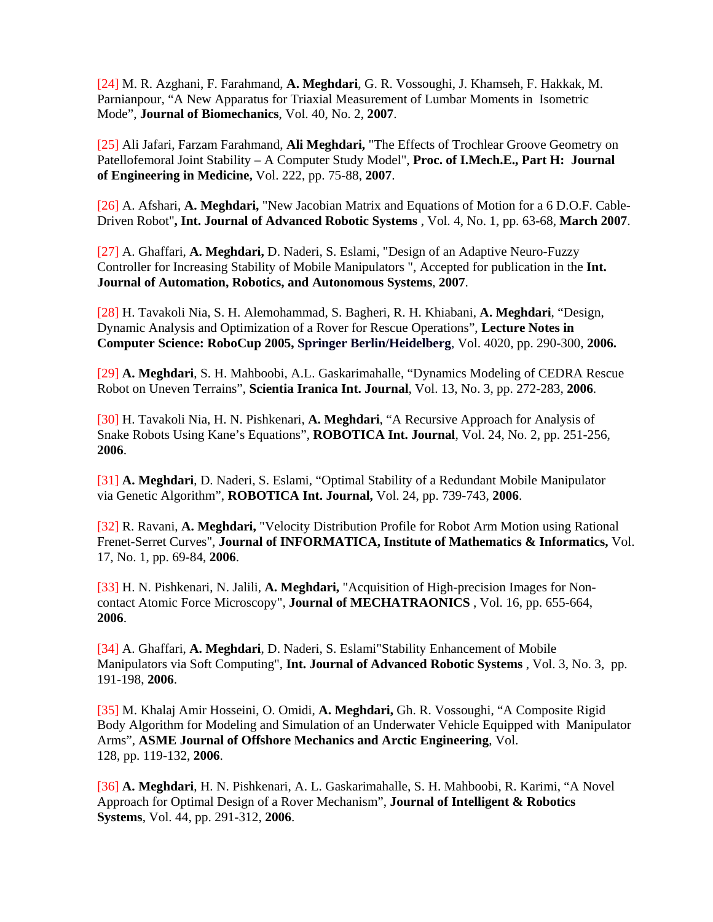[24] M. R. Azghani, F. Farahmand, **A. Meghdari**, G. R. Vossoughi, J. Khamseh, F. Hakkak, M. Parnianpour, "A New Apparatus for Triaxial Measurement of Lumbar Moments in Isometric Mode", **Journal of Biomechanics**, Vol. 40, No. 2, **2007**.

[25] Ali Jafari, Farzam Farahmand, **Ali Meghdari,** "The Effects of Trochlear Groove Geometry on Patellofemoral Joint Stability – A Computer Study Model", **Proc. of I.Mech.E., Part H: Journal of Engineering in Medicine,** Vol. 222, pp. 75-88, **2007**.

[26] A. Afshari, **A. Meghdari,** "New Jacobian Matrix and Equations of Motion for a 6 D.O.F. Cable-Driven Robot"**, Int. Journal of Advanced Robotic Systems** , Vol. 4, No. 1, pp. 63-68, **March 2007**.

[27] A. Ghaffari, **A. Meghdari,** D. Naderi, S. Eslami, "Design of an Adaptive Neuro-Fuzzy Controller for Increasing Stability of Mobile Manipulators ", Accepted for publication in the **Int. Journal of Automation, Robotics, and Autonomous Systems**, **2007**.

[28] H. Tavakoli Nia, S. H. Alemohammad, S. Bagheri, R. H. Khiabani, **A. Meghdari**, "Design, Dynamic Analysis and Optimization of a Rover for Rescue Operations", **Lecture Notes in Computer Science: RoboCup 2005, Springer Berlin/Heidelberg**, Vol. 4020, pp. 290-300, **2006.** 

[29] **A. Meghdari**, S. H. Mahboobi, A.L. Gaskarimahalle, "Dynamics Modeling of CEDRA Rescue Robot on Uneven Terrains", **Scientia Iranica Int. Journal**, Vol. 13, No. 3, pp. 272-283, **2006**.

[30] H. Tavakoli Nia, H. N. Pishkenari, **A. Meghdari**, "A Recursive Approach for Analysis of Snake Robots Using Kane's Equations", **ROBOTICA Int. Journal**, Vol. 24, No. 2, pp. 251-256, **2006**.

[31] **A. Meghdari**, D. Naderi, S. Eslami, "Optimal Stability of a Redundant Mobile Manipulator via Genetic Algorithm", **ROBOTICA Int. Journal,** Vol. 24, pp. 739-743, **2006**.

[32] R. Ravani, **A. Meghdari,** "Velocity Distribution Profile for Robot Arm Motion using Rational Frenet-Serret Curves", **Journal of INFORMATICA, Institute of Mathematics & Informatics,** Vol. 17, No. 1, pp. 69-84, **2006**.

[33] H. N. Pishkenari, N. Jalili, **A. Meghdari,** "Acquisition of High-precision Images for Noncontact Atomic Force Microscopy", **Journal of MECHATRAONICS** , Vol. 16, pp. 655-664, **2006**.

[34] A. Ghaffari, **A. Meghdari**, D. Naderi, S. Eslami"Stability Enhancement of Mobile Manipulators via Soft Computing", **Int. Journal of Advanced Robotic Systems** , Vol. 3, No. 3, pp. 191-198, **2006**.

[35] M. Khalaj Amir Hosseini, O. Omidi, **A. Meghdari,** Gh. R. Vossoughi, "A Composite Rigid Body Algorithm for Modeling and Simulation of an Underwater Vehicle Equipped with Manipulator Arms", **ASME Journal of Offshore Mechanics and Arctic Engineering**, Vol. 128, pp. 119-132, **2006**.

[36] **A. Meghdari**, H. N. Pishkenari, A. L. Gaskarimahalle, S. H. Mahboobi, R. Karimi, "A Novel Approach for Optimal Design of a Rover Mechanism", **Journal of Intelligent & Robotics Systems**, Vol. 44, pp. 291-312, **2006**.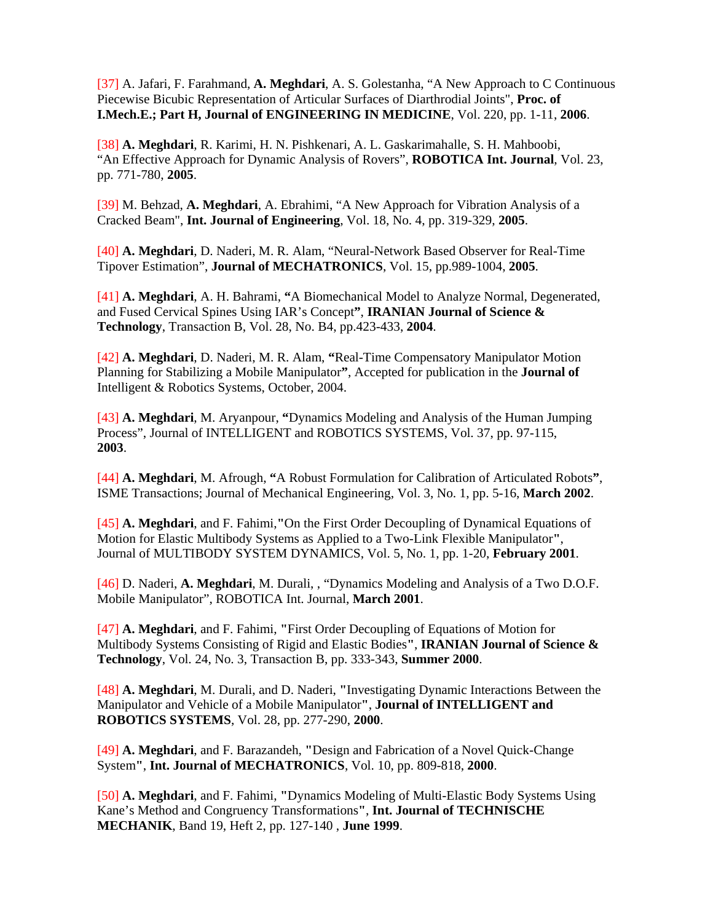[37] A. Jafari, F. Farahmand, **A. Meghdari**, A. S. Golestanha, "A New Approach to C Continuous Piecewise Bicubic Representation of Articular Surfaces of Diarthrodial Joints", **Proc. of I.Mech.E.; Part H, Journal of ENGINEERING IN MEDICINE**, Vol. 220, pp. 1-11, **2006**.

 [38] **A. Meghdari**, R. Karimi, H. N. Pishkenari, A. L. Gaskarimahalle, S. H. Mahboobi, "An Effective Approach for Dynamic Analysis of Rovers", **ROBOTICA Int. Journal**, Vol. 23, pp. 771-780, **2005**.

 [39] M. Behzad, **A. Meghdari**, A. Ebrahimi, "A New Approach for Vibration Analysis of a Cracked Beam", **Int. Journal of Engineering**, Vol. 18, No. 4, pp. 319-329, **2005**.

[40] **A. Meghdari**, D. Naderi, M. R. Alam, "Neural-Network Based Observer for Real-Time Tipover Estimation", **Journal of MECHATRONICS**, Vol. 15, pp.989-1004, **2005**.

 [41] **A. Meghdari**, A. H. Bahrami, **"**A Biomechanical Model to Analyze Normal, Degenerated, and Fused Cervical Spines Using IAR's Concept**"**, **IRANIAN Journal of Science & Technology**, Transaction B, Vol. 28, No. B4, pp.423-433, **2004**.

 [42] **A. Meghdari**, D. Naderi, M. R. Alam, **"**Real-Time Compensatory Manipulator Motion Planning for Stabilizing a Mobile Manipulator**"**, Accepted for publication in the **Journal of**  Intelligent & Robotics Systems, October, 2004.

 [43] **A. Meghdari**, M. Aryanpour, **"**Dynamics Modeling and Analysis of the Human Jumping Process", Journal of INTELLIGENT and ROBOTICS SYSTEMS, Vol. 37, pp. 97-115, **2003**.

 [44] **A. Meghdari**, M. Afrough, **"**A Robust Formulation for Calibration of Articulated Robots**"**, ISME Transactions; Journal of Mechanical Engineering, Vol. 3, No. 1, pp. 5-16, **March 2002**.

 [45] **A. Meghdari**, and F. Fahimi,**"**On the First Order Decoupling of Dynamical Equations of Motion for Elastic Multibody Systems as Applied to a Two-Link Flexible Manipulator**"**, Journal of MULTIBODY SYSTEM DYNAMICS, Vol. 5, No. 1, pp. 1-20, **February 2001**.

 [46] D. Naderi, **A. Meghdari**, M. Durali, , "Dynamics Modeling and Analysis of a Two D.O.F. Mobile Manipulator", ROBOTICA Int. Journal, **March 2001**.

 [47] **A. Meghdari**, and F. Fahimi, **"**First Order Decoupling of Equations of Motion for Multibody Systems Consisting of Rigid and Elastic Bodies**"**, **IRANIAN Journal of Science & Technology**, Vol. 24, No. 3, Transaction B, pp. 333-343, **Summer 2000**.

 [48] **A. Meghdari**, M. Durali, and D. Naderi, **"**Investigating Dynamic Interactions Between the Manipulator and Vehicle of a Mobile Manipulator**"**, **Journal of INTELLIGENT and ROBOTICS SYSTEMS**, Vol. 28, pp. 277-290, **2000**.

 [49] **A. Meghdari**, and F. Barazandeh, **"**Design and Fabrication of a Novel Quick-Change System**"**, **Int. Journal of MECHATRONICS**, Vol. 10, pp. 809-818, **2000**.

 [50] **A. Meghdari**, and F. Fahimi, **"**Dynamics Modeling of Multi-Elastic Body Systems Using Kane's Method and Congruency Transformations**"**, **Int. Journal of TECHNISCHE MECHANIK**, Band 19, Heft 2, pp. 127-140 , **June 1999**.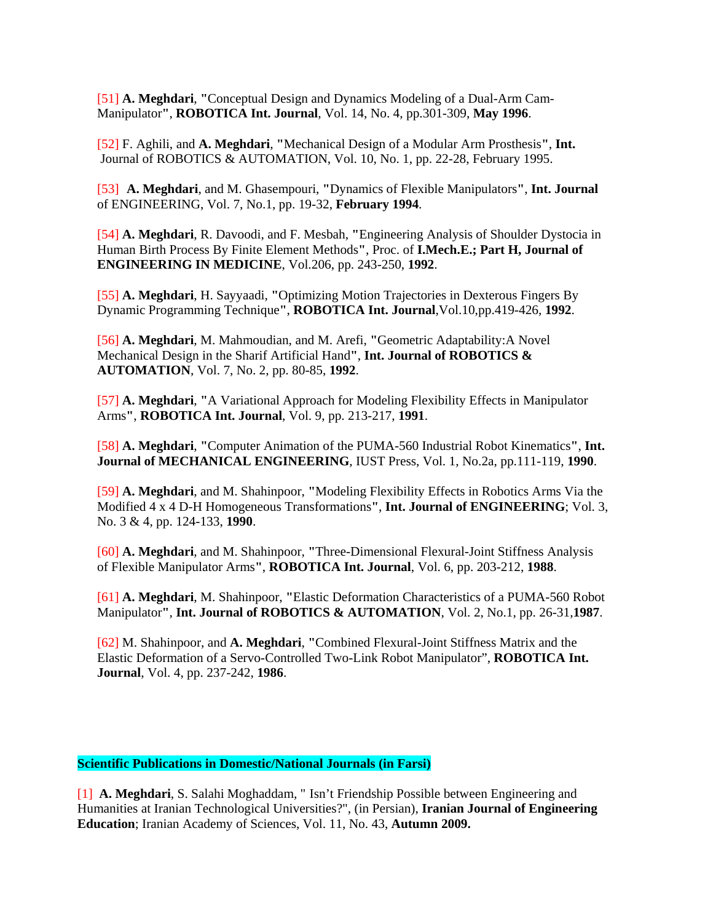[51] **A. Meghdari**, **"**Conceptual Design and Dynamics Modeling of a Dual-Arm Cam- Manipulator**"**, **ROBOTICA Int. Journal**, Vol. 14, No. 4, pp.301-309, **May 1996**.

 [52] F. Aghili, and **A. Meghdari**, **"**Mechanical Design of a Modular Arm Prosthesis**"**, **Int.**  Journal of ROBOTICS & AUTOMATION, Vol. 10, No. 1, pp. 22-28, February 1995.

 [53] **A. Meghdari**, and M. Ghasempouri, **"**Dynamics of Flexible Manipulators**"**, **Int. Journal**  of ENGINEERING, Vol. 7, No.1, pp. 19-32, **February 1994**.

 [54] **A. Meghdari**, R. Davoodi, and F. Mesbah, **"**Engineering Analysis of Shoulder Dystocia in Human Birth Process By Finite Element Methods**"**, Proc. of **I.Mech.E.; Part H, Journal of ENGINEERING IN MEDICINE**, Vol.206, pp. 243-250, **1992**.

 [55] **A. Meghdari**, H. Sayyaadi, **"**Optimizing Motion Trajectories in Dexterous Fingers By Dynamic Programming Technique**"**, **ROBOTICA Int. Journal**,Vol.10,pp.419-426, **1992**.

 [56] **A. Meghdari**, M. Mahmoudian, and M. Arefi, **"**Geometric Adaptability:A Novel Mechanical Design in the Sharif Artificial Hand**"**, **Int. Journal of ROBOTICS & AUTOMATION**, Vol. 7, No. 2, pp. 80-85, **1992**.

 [57] **A. Meghdari**, **"**A Variational Approach for Modeling Flexibility Effects in Manipulator Arms**"**, **ROBOTICA Int. Journal**, Vol. 9, pp. 213-217, **1991**.

 [58] **A. Meghdari**, **"**Computer Animation of the PUMA-560 Industrial Robot Kinematics**"**, **Int. Journal of MECHANICAL ENGINEERING**, IUST Press, Vol. 1, No.2a, pp.111-119, **1990**.

 [59] **A. Meghdari**, and M. Shahinpoor, **"**Modeling Flexibility Effects in Robotics Arms Via the Modified 4 x 4 D-H Homogeneous Transformations**"**, **Int. Journal of ENGINEERING**; Vol. 3, No. 3 & 4, pp. 124-133, **1990**.

 [60] **A. Meghdari**, and M. Shahinpoor, **"**Three-Dimensional Flexural-Joint Stiffness Analysis of Flexible Manipulator Arms**"**, **ROBOTICA Int. Journal**, Vol. 6, pp. 203-212, **1988**.

 [61] **A. Meghdari**, M. Shahinpoor, **"**Elastic Deformation Characteristics of a PUMA-560 Robot Manipulator**"**, **Int. Journal of ROBOTICS & AUTOMATION**, Vol. 2, No.1, pp. 26-31,**1987**.

 [62] M. Shahinpoor, and **A. Meghdari**, **"**Combined Flexural-Joint Stiffness Matrix and the Elastic Deformation of a Servo-Controlled Two-Link Robot Manipulator", **ROBOTICA Int. Journal**, Vol. 4, pp. 237-242, **1986**.

## **Scientific Publications in Domestic/National Journals (in Farsi)**

[1] **A. Meghdari**, S. Salahi Moghaddam, " Isn't Friendship Possible between Engineering and Humanities at Iranian Technological Universities?", (in Persian), **Iranian Journal of Engineering Education**; Iranian Academy of Sciences, Vol. 11, No. 43, **Autumn 2009.**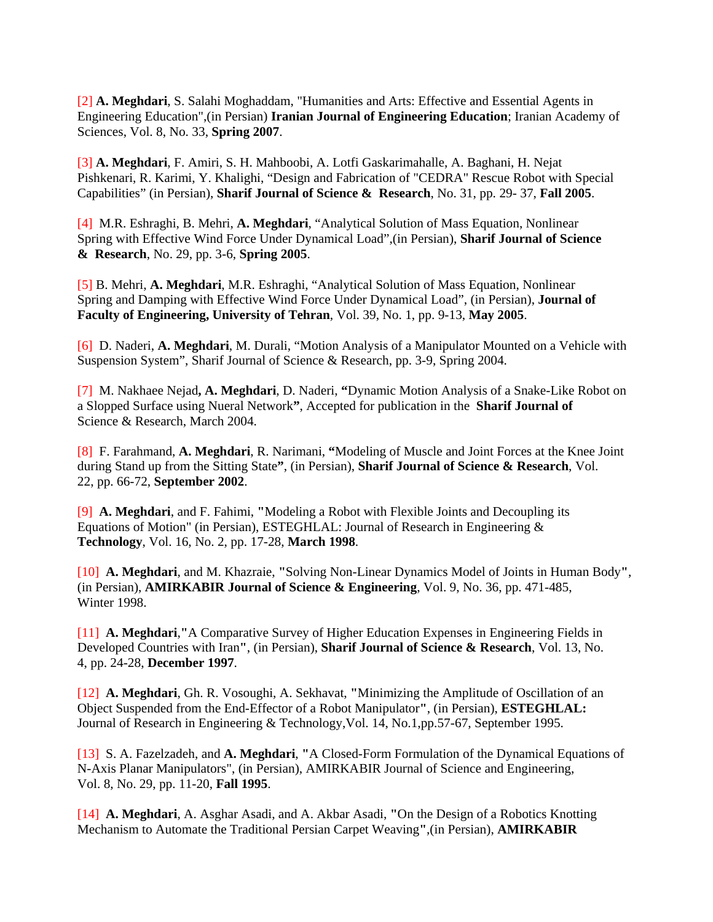[2] **A. Meghdari**, S. Salahi Moghaddam, "Humanities and Arts: Effective and Essential Agents in Engineering Education",(in Persian) **Iranian Journal of Engineering Education**; Iranian Academy of Sciences, Vol. 8, No. 33, **Spring 2007**.

[3] **A. Meghdari**, F. Amiri, S. H. Mahboobi, A. Lotfi Gaskarimahalle, A. Baghani, H. Nejat Pishkenari, R. Karimi, Y. Khalighi, "Design and Fabrication of "CEDRA" Rescue Robot with Special Capabilities" (in Persian), **Sharif Journal of Science & Research**, No. 31, pp. 29- 37, **Fall 2005**.

[4] M.R. Eshraghi, B. Mehri, **A. Meghdari**, "Analytical Solution of Mass Equation, Nonlinear Spring with Effective Wind Force Under Dynamical Load",(in Persian), **Sharif Journal of Science & Research**, No. 29, pp. 3-6, **Spring 2005**.

[5] B. Mehri, **A. Meghdari**, M.R. Eshraghi, "Analytical Solution of Mass Equation, Nonlinear Spring and Damping with Effective Wind Force Under Dynamical Load", (in Persian), **Journal of Faculty of Engineering, University of Tehran**, Vol. 39, No. 1, pp. 9-13, **May 2005**.

[6] D. Naderi, **A. Meghdari**, M. Durali, "Motion Analysis of a Manipulator Mounted on a Vehicle with Suspension System", Sharif Journal of Science & Research, pp. 3-9, Spring 2004.

[7] M. Nakhaee Nejad**, A. Meghdari**, D. Naderi, **"**Dynamic Motion Analysis of a Snake-Like Robot on a Slopped Surface using Nueral Network**"**, Accepted for publication in the **Sharif Journal of**  Science & Research, March 2004.

[8] F. Farahmand, **A. Meghdari**, R. Narimani, **"**Modeling of Muscle and Joint Forces at the Knee Joint during Stand up from the Sitting State**"**, (in Persian), **Sharif Journal of Science & Research**, Vol. 22, pp. 66-72, **September 2002**.

[9] **A. Meghdari**, and F. Fahimi, **"**Modeling a Robot with Flexible Joints and Decoupling its Equations of Motion" (in Persian), ESTEGHLAL: Journal of Research in Engineering & **Technology**, Vol. 16, No. 2, pp. 17-28, **March 1998**.

[10] **A. Meghdari**, and M. Khazraie, **"**Solving Non-Linear Dynamics Model of Joints in Human Body**"**, (in Persian), **AMIRKABIR Journal of Science & Engineering**, Vol. 9, No. 36, pp. 471-485, Winter 1998.

[11] **A. Meghdari**,**"**A Comparative Survey of Higher Education Expenses in Engineering Fields in Developed Countries with Iran**"**, (in Persian), **Sharif Journal of Science & Research**, Vol. 13, No. 4, pp. 24-28, **December 1997**.

[12] **A. Meghdari**, Gh. R. Vosoughi, A. Sekhavat, **"**Minimizing the Amplitude of Oscillation of an Object Suspended from the End-Effector of a Robot Manipulator**"**, (in Persian), **ESTEGHLAL:**  Journal of Research in Engineering & Technology,Vol. 14, No.1,pp.57-67, September 1995.

[13] S. A. Fazelzadeh, and **A. Meghdari**, **"**A Closed-Form Formulation of the Dynamical Equations of N-Axis Planar Manipulators", (in Persian), AMIRKABIR Journal of Science and Engineering, Vol. 8, No. 29, pp. 11-20, **Fall 1995**.

[14] **A. Meghdari**, A. Asghar Asadi, and A. Akbar Asadi, **"**On the Design of a Robotics Knotting Mechanism to Automate the Traditional Persian Carpet Weaving**"**,(in Persian), **AMIRKABIR**